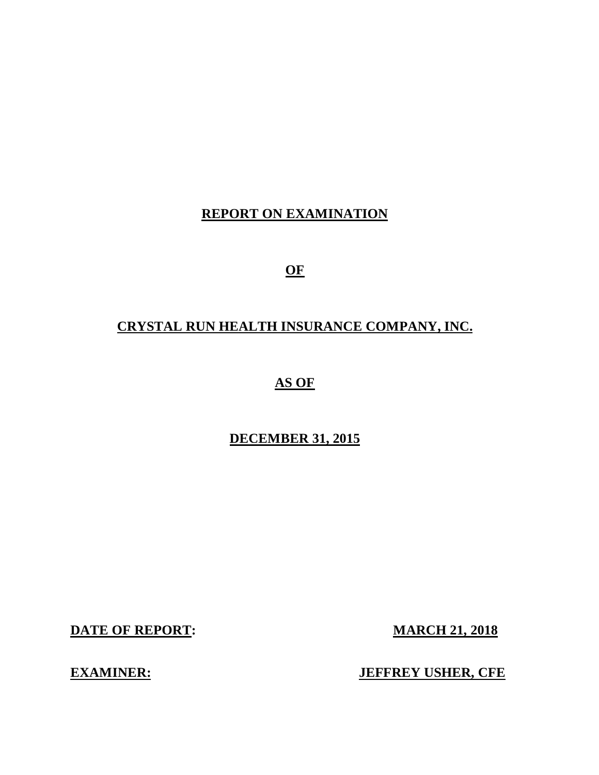## **REPORT ON EXAMINATION**

**OF** 

# **CRYSTAL RUN HEALTH INSURANCE COMPANY, INC.**

 **AS OF** 

## **DECEMBER 31, 2015**

**DATE OF REPORT:** MARCH 21, 2018

**EXAMINER:** JEFFREY USHER, CFE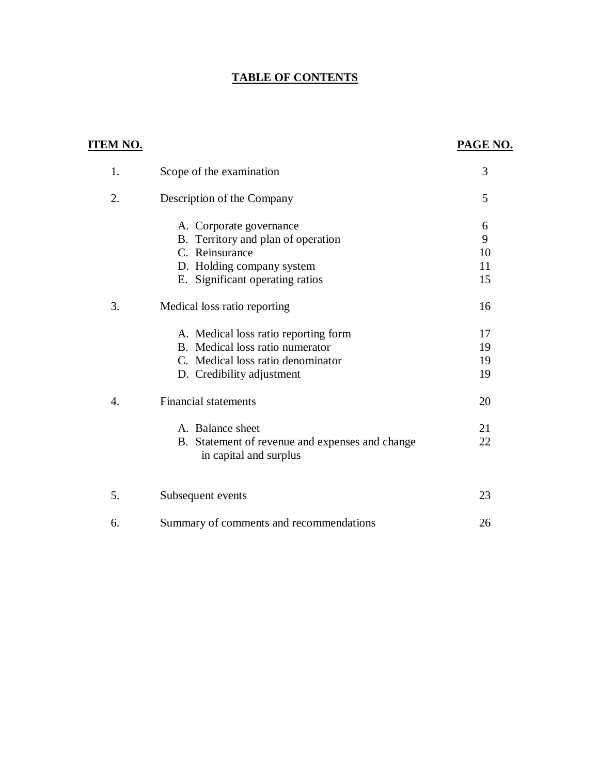### **TABLE OF CONTENTS**

| <u>ITEM NO.</u>  |                                                                           | PAGE NO. |
|------------------|---------------------------------------------------------------------------|----------|
| 1.               | Scope of the examination                                                  | 3        |
| 2.               | Description of the Company                                                | 5        |
|                  | A. Corporate governance                                                   | 6        |
|                  | B. Territory and plan of operation                                        | 9        |
|                  | C. Reinsurance                                                            | 10       |
|                  | D. Holding company system                                                 | 11       |
|                  | E. Significant operating ratios                                           | 15       |
| 3.               | Medical loss ratio reporting                                              | 16       |
|                  | A. Medical loss ratio reporting form                                      | 17       |
|                  | B. Medical loss ratio numerator                                           | 19       |
|                  | C. Medical loss ratio denominator                                         | 19       |
|                  | D. Credibility adjustment                                                 | 19       |
| $\overline{4}$ . | <b>Financial statements</b>                                               | 20       |
|                  | A. Balance sheet                                                          | 21       |
|                  | B. Statement of revenue and expenses and change<br>in capital and surplus | 22       |
| 5.               | Subsequent events                                                         | 23       |
| 6.               | Summary of comments and recommendations                                   | 26       |
|                  |                                                                           |          |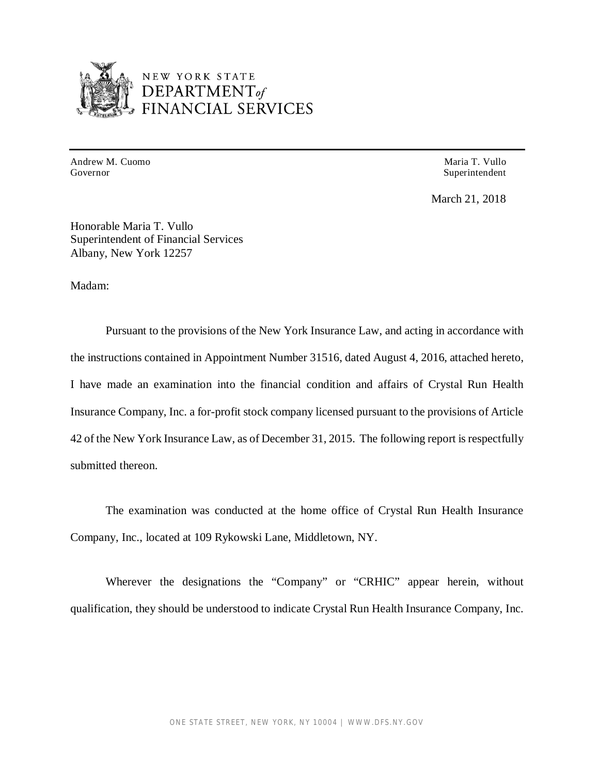

# NEW YORK STATE<br>DEPARTMENT<sub>of</sub><br>FINANCIAL SERVICES

 Andrew M. Cuomo Governor

Maria T. Vullo Superintendent

March 21, 2018

 Honorable Maria T. Vullo Superintendent of Financial Services Albany, New York 12257

Madam:

 Pursuant to the provisions of the New York Insurance Law, and acting in accordance with the instructions contained in Appointment Number 31516, dated August 4, 2016, attached hereto, I have made an examination into the financial condition and affairs of Crystal Run Health Insurance Company, Inc. a for-profit stock company licensed pursuant to the provisions of Article 42 of the New York Insurance Law, as of December 31, 2015. The following report is respectfully submitted thereon.

 Company, Inc., located at 109 Rykowski Lane, Middletown, NY. The examination was conducted at the home office of Crystal Run Health Insurance

 Wherever the designations the "Company" or "CRHIC" appear herein, without qualification, they should be understood to indicate Crystal Run Health Insurance Company, Inc.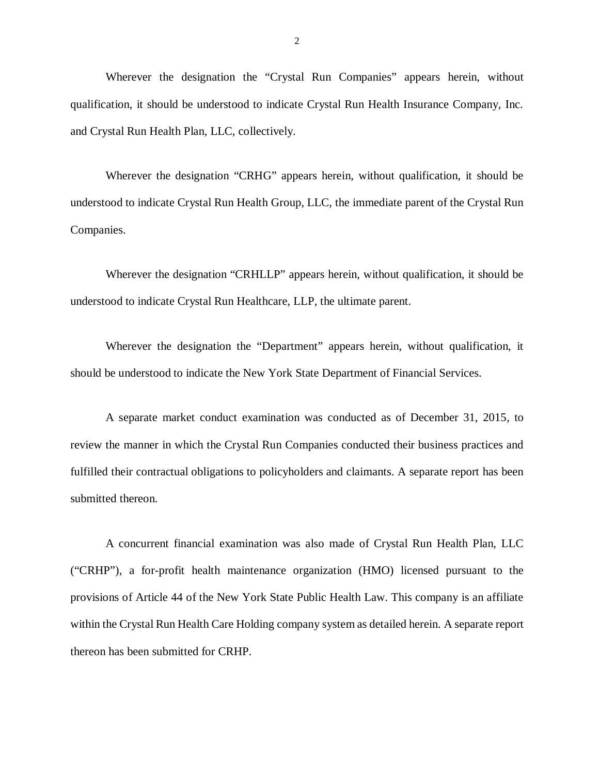Wherever the designation the "Crystal Run Companies" appears herein, without qualification, it should be understood to indicate Crystal Run Health Insurance Company, Inc. and Crystal Run Health Plan, LLC, collectively.

 Wherever the designation "CRHG" appears herein, without qualification, it should be understood to indicate Crystal Run Health Group, LLC, the immediate parent of the Crystal Run Companies.

 Wherever the designation "CRHLLP" appears herein, without qualification, it should be understood to indicate Crystal Run Healthcare, LLP, the ultimate parent.

 Wherever the designation the "Department" appears herein, without qualification, it should be understood to indicate the New York State Department of Financial Services.

 A separate market conduct examination was conducted as of December 31, 2015, to review the manner in which the Crystal Run Companies conducted their business practices and fulfilled their contractual obligations to policyholders and claimants. A separate report has been submitted thereon.

 A concurrent financial examination was also made of Crystal Run Health Plan, LLC ("CRHP"), a for-profit health maintenance organization (HMO) licensed pursuant to the provisions of Article 44 of the New York State Public Health Law. This company is an affiliate within the Crystal Run Health Care Holding company system as detailed herein. A separate report thereon has been submitted for CRHP.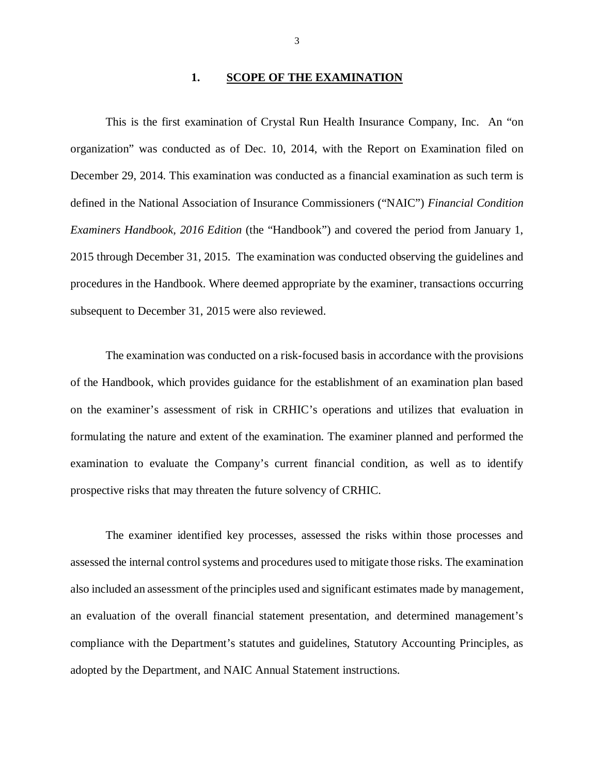#### **1. SCOPE OF THE EXAMINATION**

 This is the first examination of Crystal Run Health Insurance Company, Inc. An "on organization" was conducted as of Dec. 10, 2014, with the Report on Examination filed on December 29, 2014. This examination was conducted as a financial examination as such term is defined in the National Association of Insurance Commissioners ("NAIC") *Financial Condition*  Examiners Handbook, 2016 Edition (the "Handbook") and covered the period from January 1, 2015 through December 31, 2015. The examination was conducted observing the guidelines and procedures in the Handbook. Where deemed appropriate by the examiner, transactions occurring subsequent to December 31, 2015 were also reviewed.

 The examination was conducted on a risk-focused basis in accordance with the provisions of the Handbook, which provides guidance for the establishment of an examination plan based on the examiner's assessment of risk in CRHIC's operations and utilizes that evaluation in formulating the nature and extent of the examination. The examiner planned and performed the examination to evaluate the Company's current financial condition, as well as to identify prospective risks that may threaten the future solvency of CRHIC.

 The examiner identified key processes, assessed the risks within those processes and assessed the internal control systems and procedures used to mitigate those risks. The examination also included an assessment of the principles used and significant estimates made by management, an evaluation of the overall financial statement presentation, and determined management's compliance with the Department's statutes and guidelines, Statutory Accounting Principles, as adopted by the Department, and NAIC Annual Statement instructions.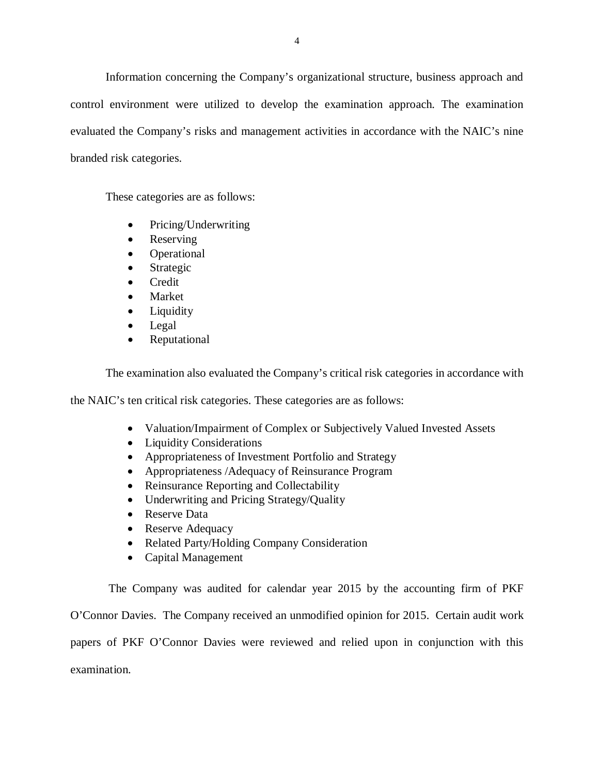Information concerning the Company's organizational structure, business approach and control environment were utilized to develop the examination approach. The examination evaluated the Company's risks and management activities in accordance with the NAIC's nine branded risk categories.

These categories are as follows:

- Pricing/Underwriting
- Reserving
- Operational
- Strategic
- Credit
- Market
- Liquidity
- Legal
- Reputational

The examination also evaluated the Company's critical risk categories in accordance with

the NAIC's ten critical risk categories. These categories are as follows:

- Valuation/Impairment of Complex or Subjectively Valued Invested Assets
- Liquidity Considerations
- Appropriateness of Investment Portfolio and Strategy
- Appropriateness /Adequacy of Reinsurance Program
- Reinsurance Reporting and Collectability
- Underwriting and Pricing Strategy/Quality
- Reserve Data
- Reserve Adequacy
- Related Party/Holding Company Consideration
- Capital Management

 The Company was audited for calendar year 2015 by the accounting firm of PKF O'Connor Davies. The Company received an unmodified opinion for 2015. Certain audit work papers of PKF O'Connor Davies were reviewed and relied upon in conjunction with this examination.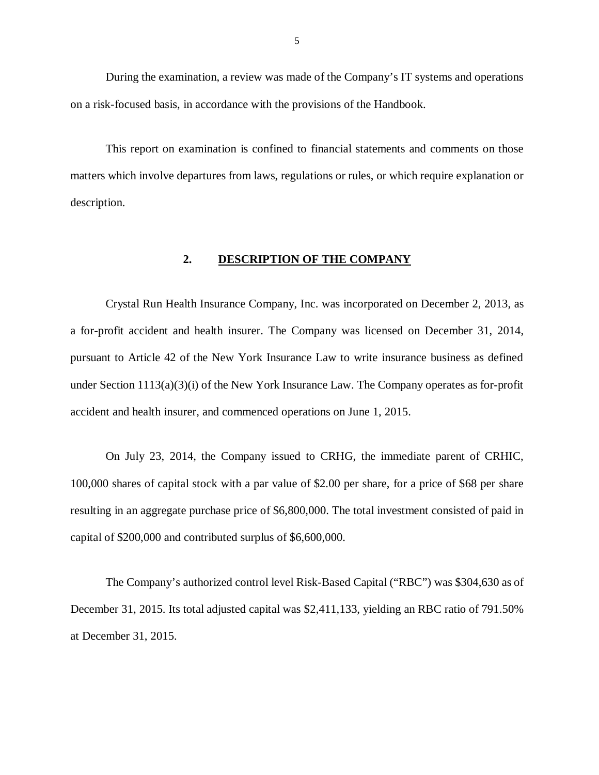<span id="page-6-0"></span> During the examination, a review was made of the Company's IT systems and operations on a risk-focused basis, in accordance with the provisions of the Handbook.

 This report on examination is confined to financial statements and comments on those matters which involve departures from laws, regulations or rules, or which require explanation or description.

#### **2. DESCRIPTION OF THE COMPANY**

 Crystal Run Health Insurance Company, Inc. was incorporated on December 2, 2013, as a for-profit accident and health insurer. The Company was licensed on December 31, 2014, pursuant to Article 42 of the New York Insurance Law to write insurance business as defined under Section 1113(a)(3)(i) of the New York Insurance Law. The Company operates as for-profit accident and health insurer, and commenced operations on June 1, 2015.

 On July 23, 2014, the Company issued to CRHG, the immediate parent of CRHIC, 100,000 shares of capital stock with a par value of \$2.00 per share, for a price of \$68 per share resulting in an aggregate purchase price of \$6,800,000. The total investment consisted of paid in capital of \$200,000 and contributed surplus of \$6,600,000.

 The Company's authorized control level Risk-Based Capital ("RBC") was \$304,630 as of December 31, 2015. Its total adjusted capital was \$2,411,133, yielding an RBC ratio of 791.50% at December 31, 2015.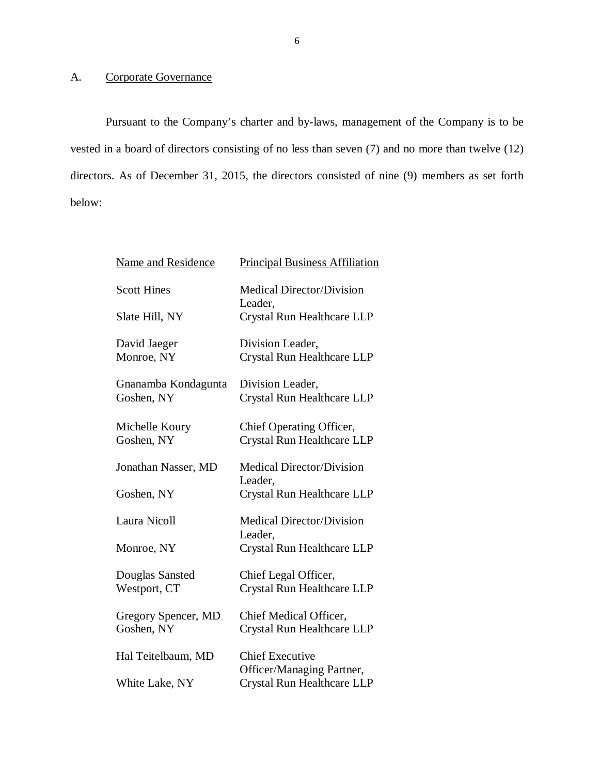#### A. Corporate Governance

 Pursuant to the Company's charter and by-laws, management of the Company is to be vested in a board of directors consisting of no less than seven (7) and no more than twelve (12) directors. As of December 31, 2015, the directors consisted of nine (9) members as set forth below:

| <b>Name and Residence</b>         | <b>Principal Business Affiliation</b>                  |
|-----------------------------------|--------------------------------------------------------|
| <b>Scott Hines</b>                | <b>Medical Director/Division</b><br>Leader,            |
| Slate Hill, NY                    | Crystal Run Healthcare LLP                             |
| David Jaeger<br>Monroe, NY        | Division Leader,<br>Crystal Run Healthcare LLP         |
| Gnanamba Kondagunta<br>Goshen, NY | Division Leader,<br>Crystal Run Healthcare LLP         |
| Michelle Koury<br>Goshen, NY      | Chief Operating Officer,<br>Crystal Run Healthcare LLP |
| Jonathan Nasser, MD               | <b>Medical Director/Division</b>                       |
| Goshen, NY                        | Leader,<br>Crystal Run Healthcare LLP                  |
| Laura Nicoll                      | <b>Medical Director/Division</b>                       |
| Monroe, NY                        | Leader,<br>Crystal Run Healthcare LLP                  |
| Douglas Sansted<br>Westport, CT   | Chief Legal Officer,<br>Crystal Run Healthcare LLP     |
| Gregory Spencer, MD<br>Goshen, NY | Chief Medical Officer,<br>Crystal Run Healthcare LLP   |
| Hal Teitelbaum, MD                | <b>Chief Executive</b><br>Officer/Managing Partner,    |
| White Lake, NY                    | Crystal Run Healthcare LLP                             |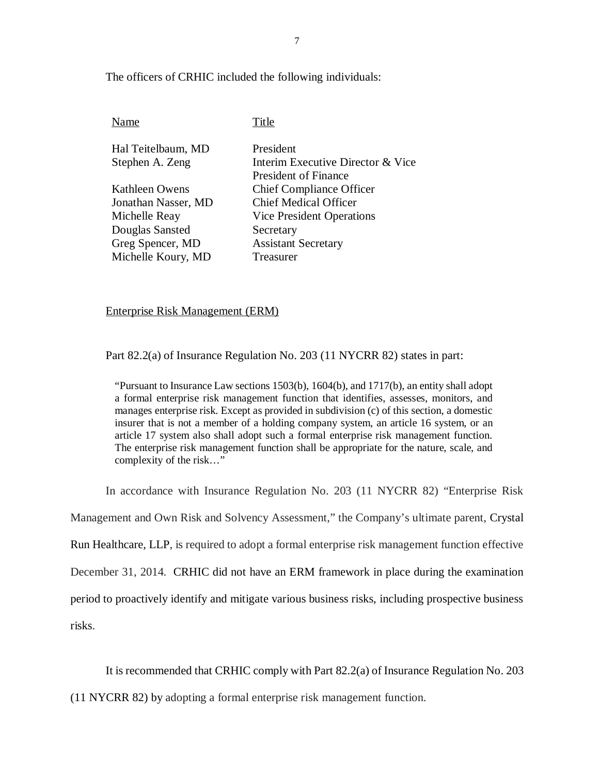The officers of CRHIC included the following individuals:

| Name                | Title                             |
|---------------------|-----------------------------------|
| Hal Teitelbaum, MD  | President                         |
| Stephen A. Zeng     | Interim Executive Director & Vice |
|                     | <b>President of Finance</b>       |
| Kathleen Owens      | <b>Chief Compliance Officer</b>   |
| Jonathan Nasser, MD | <b>Chief Medical Officer</b>      |
| Michelle Reay       | <b>Vice President Operations</b>  |
| Douglas Sansted     | Secretary                         |
| Greg Spencer, MD    | <b>Assistant Secretary</b>        |
| Michelle Koury, MD  | Treasurer                         |

Enterprise Risk Management (ERM)

Part 82.2(a) of Insurance Regulation No. 203 (11 NYCRR 82) states in part:

 "Pursuant to Insurance Law sections 1503(b), 1604(b), and 1717(b), an entity shall adopt a formal enterprise risk management function that identifies, assesses, monitors, and manages enterprise risk. Except as provided in subdivision (c) of this section, a domestic insurer that is not a member of a holding company system, an article 16 system, or an article 17 system also shall adopt such a formal enterprise risk management function. The enterprise risk management function shall be appropriate for the nature, scale, and complexity of the risk…"

In accordance with Insurance Regulation No. 203 (11 NYCRR 82) "Enterprise Risk

Management and Own Risk and Solvency Assessment," the Company's ultimate parent, Crystal

Run Healthcare, LLP, is required to adopt a formal enterprise risk management function effective

December 31, 2014. CRHIC did not have an ERM framework in place during the examination

period to proactively identify and mitigate various business risks, including prospective business

risks.

risks.<br>It is recommended that CRHIC comply with Part 82.2(a) of Insurance Regulation No. 203

(11 NYCRR 82) by adopting a formal enterprise risk management function.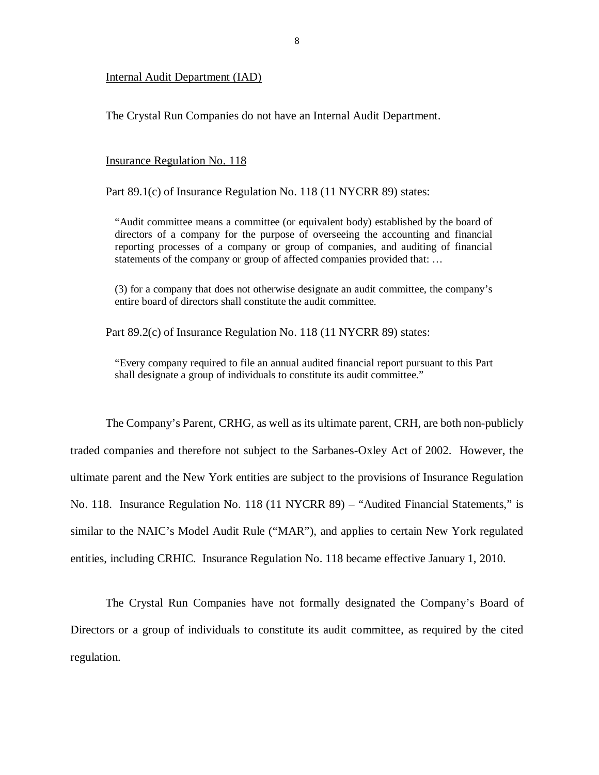#### Internal Audit Department (IAD)

The Crystal Run Companies do not have an Internal Audit Department.

#### **Insurance Regulation No. 118**

Part 89.1(c) of Insurance Regulation No. 118 (11 NYCRR 89) states:

 "Audit committee means a committee (or equivalent body) established by the board of directors of a company for the purpose of overseeing the accounting and financial reporting processes of a company or group of companies, and auditing of financial statements of the company or group of affected companies provided that: …

 (3) for a company that does not otherwise designate an audit committee, the company's entire board of directors shall constitute the audit committee.

Part 89.2(c) of Insurance Regulation No. 118 (11 NYCRR 89) states:

 "Every company required to file an annual audited financial report pursuant to this Part shall designate a group of individuals to constitute its audit committee."

 The Company's Parent, CRHG, as well as its ultimate parent, CRH, are both non-publicly traded companies and therefore not subject to the Sarbanes-Oxley Act of 2002. However, the ultimate parent and the New York entities are subject to the provisions of Insurance Regulation No. 118. Insurance Regulation No. 118 (11 NYCRR 89) – "Audited Financial Statements," is similar to the NAIC's Model Audit Rule ("MAR"), and applies to certain New York regulated entities, including CRHIC. Insurance Regulation No. 118 became effective January 1, 2010.

 The Crystal Run Companies have not formally designated the Company's Board of Directors or a group of individuals to constitute its audit committee, as required by the cited regulation.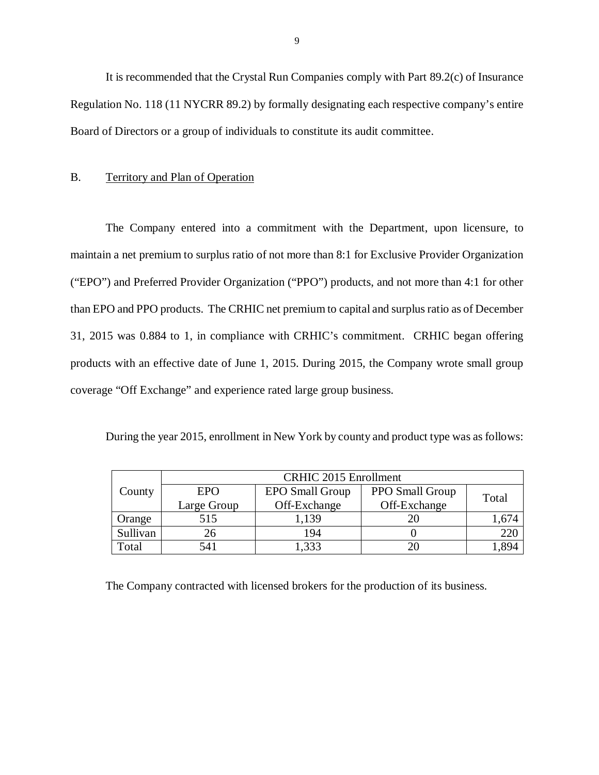It is recommended that the Crystal Run Companies comply with Part 89.2(c) of Insurance Regulation No. 118 (11 NYCRR 89.2) by formally designating each respective company's entire Board of Directors or a group of individuals to constitute its audit committee.

#### B. Territory and Plan of Operation

 The Company entered into a commitment with the Department, upon licensure, to maintain a net premium to surplus ratio of not more than 8:1 for Exclusive Provider Organization ("EPO") and Preferred Provider Organization ("PPO") products, and not more than 4:1 for other than EPO and PPO products. The CRHIC net premium to capital and surplus ratio as of December 31, 2015 was 0.884 to 1, in compliance with CRHIC's commitment. CRHIC began offering products with an effective date of June 1, 2015. During 2015, the Company wrote small group coverage "Off Exchange" and experience rated large group business.

During the year 2015, enrollment in New York by county and product type was as follows:

|          | <b>CRHIC 2015 Enrollment</b> |                        |                 |       |
|----------|------------------------------|------------------------|-----------------|-------|
| County   | <b>EPO</b>                   | <b>EPO Small Group</b> | PPO Small Group | Total |
|          | Large Group                  | Off-Exchange           | Off-Exchange    |       |
| Orange   | 515                          | 1,139                  |                 | 1,674 |
| Sullivan | 26                           | 194                    |                 | 220   |
| Total    | 541                          | 1,333                  |                 | 1.894 |

The Company contracted with licensed brokers for the production of its business.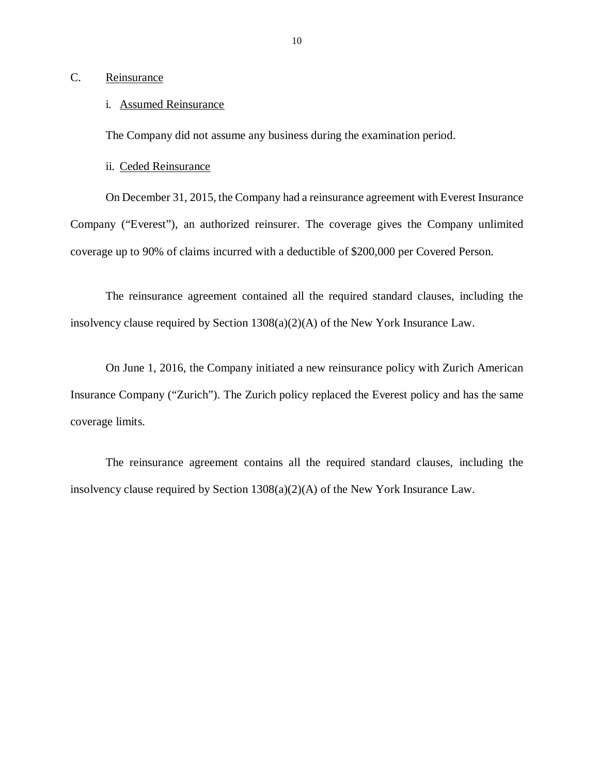#### Reinsurance

# <span id="page-11-0"></span>C. <u>Reinsurance</u><br>i. Assumed Reinsurance

The Company did not assume any business during the examination period.

#### ii. Ceded Reinsurance

 On December 31, 2015, the Company had a reinsurance agreement with Everest Insurance Company ("Everest"), an authorized reinsurer. The coverage gives the Company unlimited coverage up to 90% of claims incurred with a deductible of \$200,000 per Covered Person.

 The reinsurance agreement contained all the required standard clauses, including the insolvency clause required by Section 1308(a)(2)(A) of the New York Insurance Law.

 On June 1, 2016, the Company initiated a new reinsurance policy with Zurich American Insurance Company ("Zurich"). The Zurich policy replaced the Everest policy and has the same coverage limits.

 The reinsurance agreement contains all the required standard clauses, including the insolvency clause required by Section 1308(a)(2)(A) of the New York Insurance Law.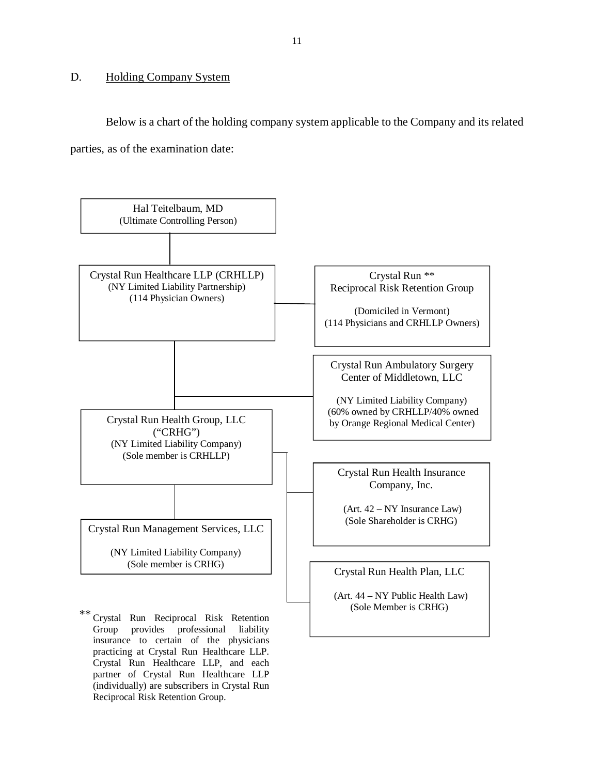#### <span id="page-12-0"></span>D. Holding Company System

 partner of Crystal Run Healthcare LLP (individually) are subscribers in Crystal Run

Reciprocal Risk Retention Group.

 Below is a chart of the holding company system applicable to the Company and its related parties, as of the examination date:

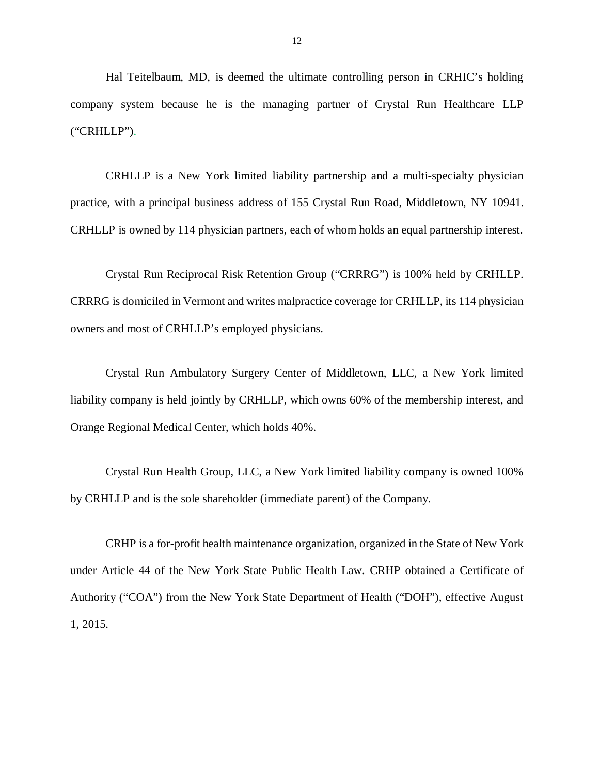Hal Teitelbaum, MD, is deemed the ultimate controlling person in CRHIC's holding company system because he is the managing partner of Crystal Run Healthcare LLP ("CRHLLP").

 CRHLLP is a New York limited liability partnership and a multi-specialty physician practice, with a principal business address of 155 Crystal Run Road, Middletown, NY 10941. CRHLLP is owned by 114 physician partners, each of whom holds an equal partnership interest.

 Crystal Run Reciprocal Risk Retention Group ("CRRRG") is 100% held by CRHLLP. CRRRG is domiciled in Vermont and writes malpractice coverage for CRHLLP, its 114 physician owners and most of CRHLLP's employed physicians.

 Crystal Run Ambulatory Surgery Center of Middletown, LLC, a New York limited liability company is held jointly by CRHLLP, which owns 60% of the membership interest, and Orange Regional Medical Center, which holds 40%.

 Crystal Run Health Group, LLC, a New York limited liability company is owned 100% by CRHLLP and is the sole shareholder (immediate parent) of the Company.

 CRHP is a for-profit health maintenance organization, organized in the State of New York under Article 44 of the New York State Public Health Law. CRHP obtained a Certificate of Authority ("COA") from the New York State Department of Health ("DOH"), effective August 1, 2015.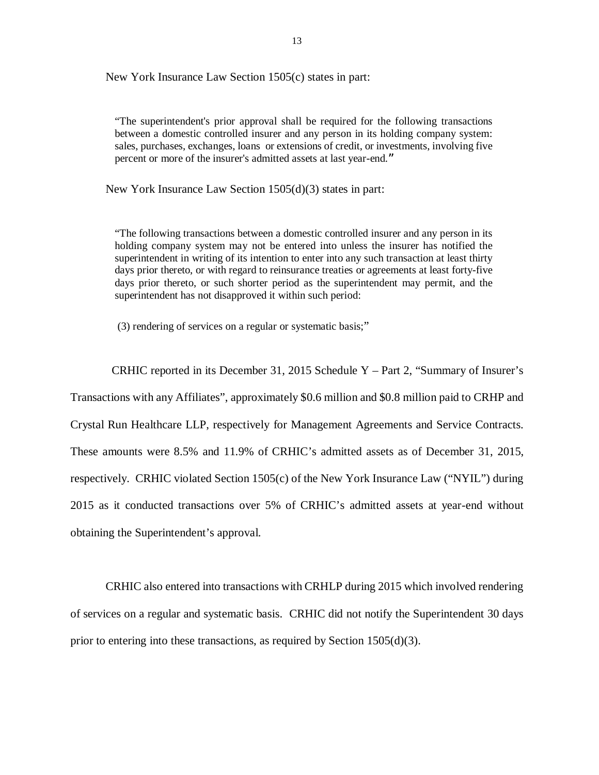New York Insurance Law Section 1505(c) states in part:

 "The superintendent's prior approval shall be required for the following transactions between a domestic controlled insurer and any person in its holding company system: sales, purchases, exchanges, loans or extensions of credit, or investments, involving five percent or more of the insurer's admitted assets at last year-end."

New York Insurance Law Section 1505(d)(3) states in part:

 "The following transactions between a domestic controlled insurer and any person in its holding company system may not be entered into unless the insurer has notified the superintendent in writing of its intention to enter into any such transaction at least thirty days prior thereto, or with regard to reinsurance treaties or agreements at least forty-five days prior thereto, or such shorter period as the superintendent may permit, and the superintendent has not disapproved it within such period:

(3) rendering of services on a regular or systematic basis;"

 Transactions with any Affiliates", approximately \$0.6 million and \$0.8 million paid to CRHP and Crystal Run Healthcare LLP, respectively for Management Agreements and Service Contracts. These amounts were 8.5% and 11.9% of CRHIC's admitted assets as of December 31, 2015, respectively. CRHIC violated Section 1505(c) of the New York Insurance Law ("NYIL") during 2015 as it conducted transactions over 5% of CRHIC's admitted assets at year-end without obtaining the Superintendent's approval. CRHIC reported in its December 31, 2015 Schedule Y – Part 2, "Summary of Insurer's

 CRHIC also entered into transactions with CRHLP during 2015 which involved rendering of services on a regular and systematic basis. CRHIC did not notify the Superintendent 30 days prior to entering into these transactions, as required by Section 1505(d)(3).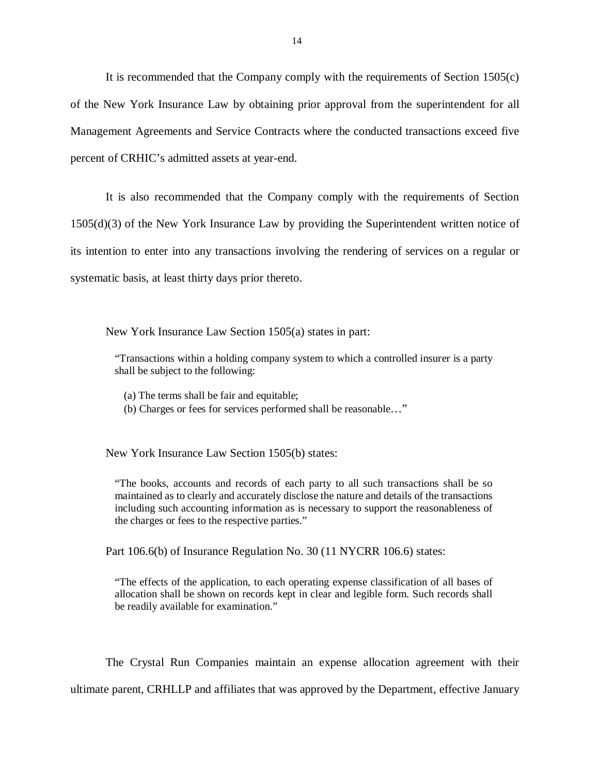It is recommended that the Company comply with the requirements of Section 1505(c) of the New York Insurance Law by obtaining prior approval from the superintendent for all Management Agreements and Service Contracts where the conducted transactions exceed five percent of CRHIC's admitted assets at year-end.

 It is also recommended that the Company comply with the requirements of Section 1505(d)(3) of the New York Insurance Law by providing the Superintendent written notice of its intention to enter into any transactions involving the rendering of services on a regular or systematic basis, at least thirty days prior thereto.

New York Insurance Law Section 1505(a) states in part:

 "Transactions within a holding company system to which a controlled insurer is a party shall be subject to the following:

(a) The terms shall be fair and equitable;

(b) Charges or fees for services performed shall be reasonable…"

New York Insurance Law Section 1505(b) states:

 "The books, accounts and records of each party to all such transactions shall be so maintained as to clearly and accurately disclose the nature and details of the transactions including such accounting information as is necessary to support the reasonableness of the charges or fees to the respective parties."

Part 106.6(b) of Insurance Regulation No. 30 (11 NYCRR 106.6) states:

 "The effects of the application, to each operating expense classification of all bases of allocation shall be shown on records kept in clear and legible form. Such records shall be readily available for examination."

 The Crystal Run Companies maintain an expense allocation agreement with their ultimate parent, CRHLLP and affiliates that was approved by the Department, effective January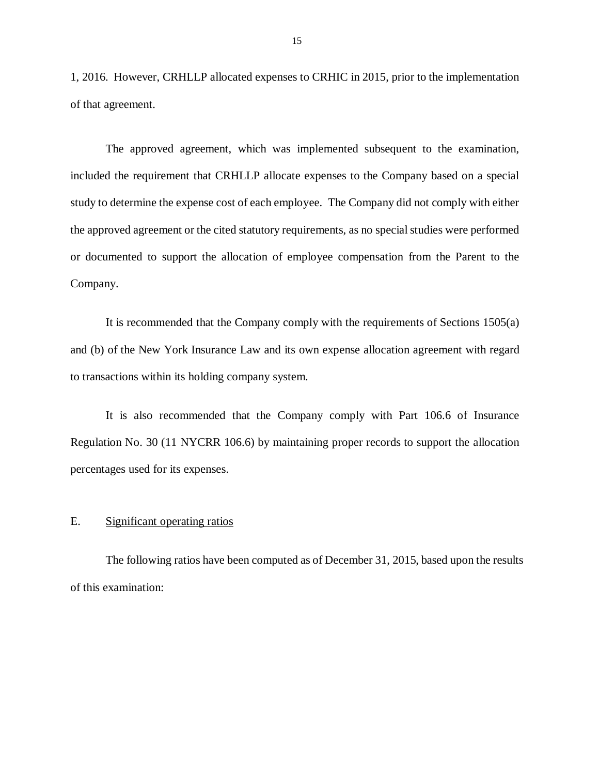<span id="page-16-0"></span> 1, 2016. However, CRHLLP allocated expenses to CRHIC in 2015, prior to the implementation of that agreement.

 The approved agreement, which was implemented subsequent to the examination, included the requirement that CRHLLP allocate expenses to the Company based on a special study to determine the expense cost of each employee. The Company did not comply with either the approved agreement or the cited statutory requirements, as no special studies were performed or documented to support the allocation of employee compensation from the Parent to the Company.

 It is recommended that the Company comply with the requirements of Sections 1505(a) and (b) of the New York Insurance Law and its own expense allocation agreement with regard to transactions within its holding company system.

 It is also recommended that the Company comply with Part 106.6 of Insurance Regulation No. 30 (11 NYCRR 106.6) by maintaining proper records to support the allocation percentages used for its expenses.

#### E. Significant operating ratios

 The following ratios have been computed as of December 31, 2015, based upon the results of this examination: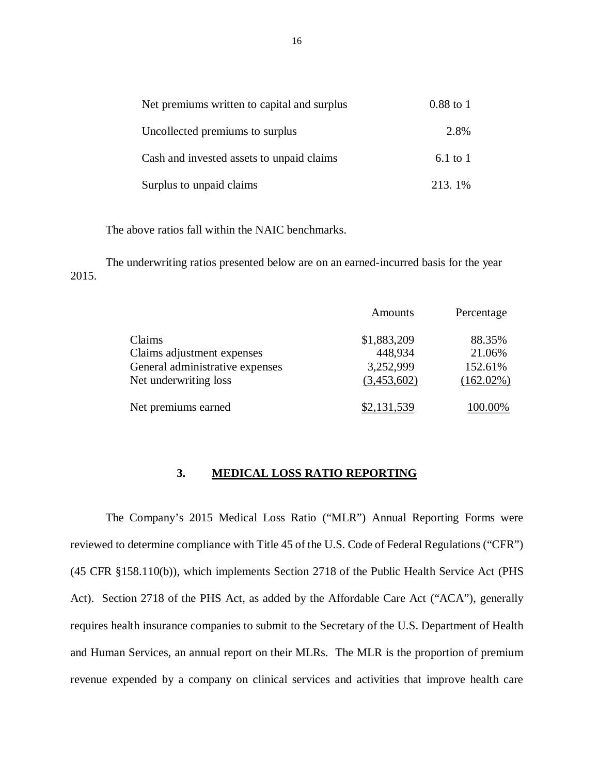| Net premiums written to capital and surplus | $0.88$ to 1  |
|---------------------------------------------|--------------|
| Uncollected premiums to surplus             | 2.8%         |
| Cash and invested assets to unpaid claims   | $6.1$ to $1$ |
| Surplus to unpaid claims                    | 213.1%       |

The above ratios fall within the NAIC benchmarks.

 The underwriting ratios presented below are on an earned-incurred basis for the year 2015.

|                                 | Amounts     | Percentage   |
|---------------------------------|-------------|--------------|
| Claims                          | \$1,883,209 | 88.35%       |
| Claims adjustment expenses      | 448,934     | 21.06%       |
| General administrative expenses | 3,252,999   | 152.61%      |
| Net underwriting loss           | (3,453,602) | $(162.02\%)$ |
| Net premiums earned             | \$2,131,539 | 100.00%      |

#### **3. MEDICAL LOSS RATIO REPORTING**

 The Company's 2015 Medical Loss Ratio ("MLR") Annual Reporting Forms were reviewed to determine compliance with Title 45 of the U.S. Code of Federal Regulations ("CFR") (45 CFR §158.110(b)), which implements Section 2718 of the Public Health Service Act (PHS Act). Section 2718 of the PHS Act, as added by the Affordable Care Act ("ACA"), generally requires health insurance companies to submit to the Secretary of the U.S. Department of Health and Human Services, an annual report on their MLRs. The MLR is the proportion of premium revenue expended by a company on clinical services and activities that improve health care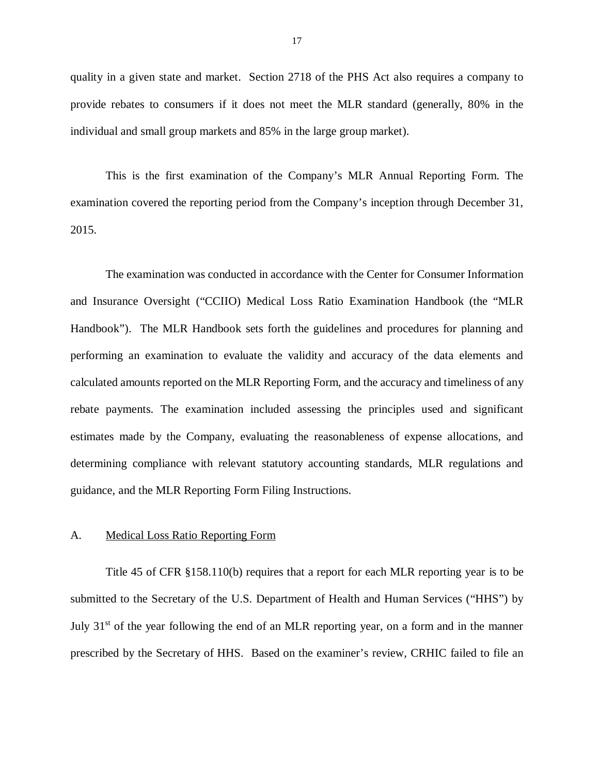<span id="page-18-0"></span> quality in a given state and market. Section 2718 of the PHS Act also requires a company to provide rebates to consumers if it does not meet the MLR standard (generally, 80% in the individual and small group markets and 85% in the large group market).

 This is the first examination of the Company's MLR Annual Reporting Form. The examination covered the reporting period from the Company's inception through December 31, 2015.

 2015. The examination was conducted in accordance with the Center for Consumer Information and Insurance Oversight ("CCIIO) Medical Loss Ratio Examination Handbook (the "MLR Handbook"). The MLR Handbook sets forth the guidelines and procedures for planning and performing an examination to evaluate the validity and accuracy of the data elements and calculated amounts reported on the MLR Reporting Form, and the accuracy and timeliness of any rebate payments. The examination included assessing the principles used and significant estimates made by the Company, evaluating the reasonableness of expense allocations, and determining compliance with relevant statutory accounting standards, MLR regulations and guidance, and the MLR Reporting Form Filing Instructions.

#### A. Medical Loss Ratio Reporting Form

 Title 45 of CFR §158.110(b) requires that a report for each MLR reporting year is to be submitted to the Secretary of the U.S. Department of Health and Human Services ("HHS") by July 31<sup>st</sup> of the year following the end of an MLR reporting year, on a form and in the manner prescribed by the Secretary of HHS. Based on the examiner's review, CRHIC failed to file an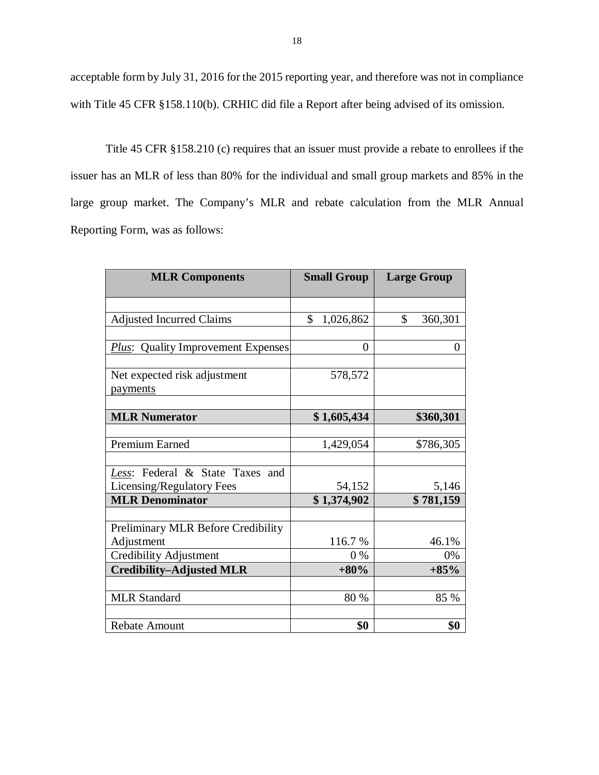acceptable form by July 31, 2016 for the 2015 reporting year, and therefore was not in compliance with Title 45 CFR §158.110(b). CRHIC did file a Report after being advised of its omission.

 Title 45 CFR §158.210 (c) requires that an issuer must provide a rebate to enrollees if the issuer has an MLR of less than 80% for the individual and small group markets and 85% in the large group market. The Company's MLR and rebate calculation from the MLR Annual Reporting Form, was as follows:

| <b>MLR Components</b>                            | <b>Small Group</b> | <b>Large Group</b> |  |
|--------------------------------------------------|--------------------|--------------------|--|
|                                                  |                    |                    |  |
| <b>Adjusted Incurred Claims</b>                  | \$<br>1,026,862    | \$<br>360,301      |  |
|                                                  |                    |                    |  |
| <b>Plus:</b> Quality Improvement Expenses        | $\overline{0}$     | $\boldsymbol{0}$   |  |
| Net expected risk adjustment<br>payments         | 578,572            |                    |  |
|                                                  |                    |                    |  |
| <b>MLR Numerator</b>                             | \$1,605,434        | \$360,301          |  |
| Premium Earned                                   | 1,429,054          | \$786,305          |  |
|                                                  |                    |                    |  |
| Less: Federal & State Taxes and                  |                    |                    |  |
| Licensing/Regulatory Fees                        | 54,152             | 5,146              |  |
| <b>MLR Denominator</b>                           | \$1,374,902        | \$781,159          |  |
|                                                  |                    |                    |  |
| Preliminary MLR Before Credibility<br>Adjustment | 116.7%             | 46.1%              |  |
| <b>Credibility Adjustment</b>                    | $0\%$              | 0%                 |  |
| <b>Credibility-Adjusted MLR</b>                  | $+80%$             | $+85%$             |  |
|                                                  |                    |                    |  |
| <b>MLR Standard</b>                              | 80 %               | 85 %               |  |
|                                                  |                    |                    |  |
| <b>Rebate Amount</b>                             | \$0                | \$0                |  |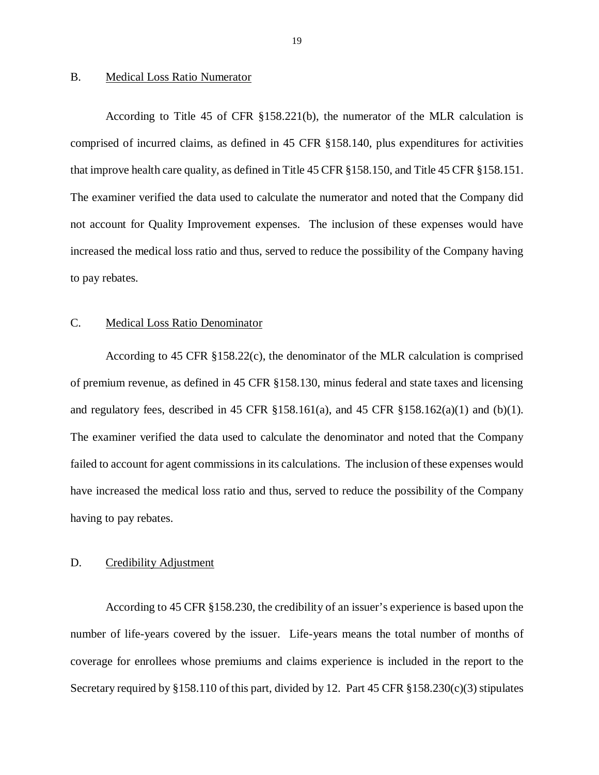#### <span id="page-20-0"></span>B. Medical Loss Ratio Numerator

 According to Title 45 of CFR §158.221(b), the numerator of the MLR calculation is comprised of incurred claims, as defined in 45 CFR §158.140, plus expenditures for activities that improve health care quality, as defined in Title 45 CFR §158.150, and Title 45 CFR §158.151. The examiner verified the data used to calculate the numerator and noted that the Company did not account for Quality Improvement expenses. The inclusion of these expenses would have increased the medical loss ratio and thus, served to reduce the possibility of the Company having to pay rebates.

#### C. Medical Loss Ratio Denominator

 According to 45 CFR §158.22(c), the denominator of the MLR calculation is comprised of premium revenue, as defined in 45 CFR §158.130, minus federal and state taxes and licensing and regulatory fees, described in 45 CFR §158.161(a), and 45 CFR §158.162(a)(1) and (b)(1). The examiner verified the data used to calculate the denominator and noted that the Company failed to account for agent commissions in its calculations. The inclusion of these expenses would have increased the medical loss ratio and thus, served to reduce the possibility of the Company having to pay rebates.

#### D. Credibility Adjustment

 According to 45 CFR §158.230, the credibility of an issuer's experience is based upon the number of life-years covered by the issuer. Life-years means the total number of months of coverage for enrollees whose premiums and claims experience is included in the report to the Secretary required by §158.110 of this part, divided by 12. Part 45 CFR §158.230(c)(3) stipulates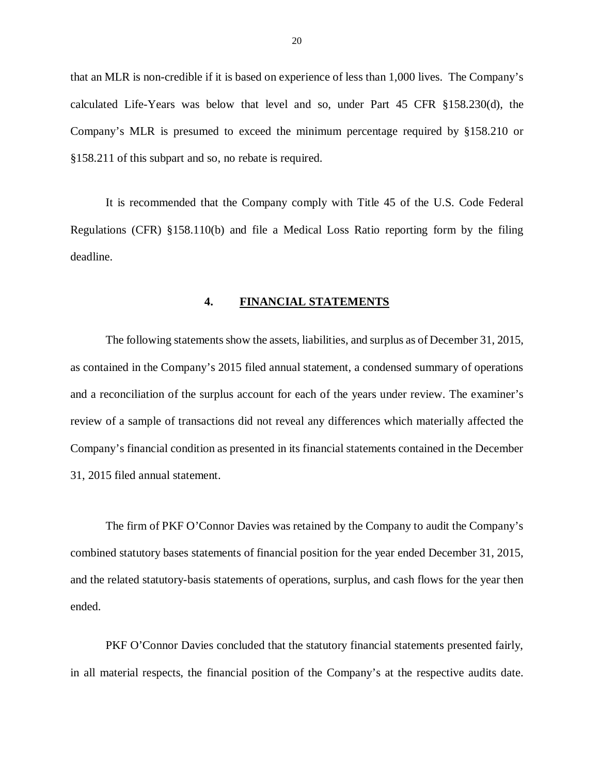<span id="page-21-0"></span> that an MLR is non-credible if it is based on experience of less than 1,000 lives. The Company's calculated Life-Years was below that level and so, under Part 45 CFR §158.230(d), the Company's MLR is presumed to exceed the minimum percentage required by §158.210 or §158.211 of this subpart and so, no rebate is required.

 It is recommended that the Company comply with Title 45 of the U.S. Code Federal Regulations (CFR) §158.110(b) and file a Medical Loss Ratio reporting form by the filing deadline.

#### **4. FINANCIAL STATEMENTS**

 The following statements show the assets, liabilities, and surplus as of December 31, 2015, as contained in the Company's 2015 filed annual statement, a condensed summary of operations and a reconciliation of the surplus account for each of the years under review. The examiner's review of a sample of transactions did not reveal any differences which materially affected the Company's financial condition as presented in its financial statements contained in the December 31, 2015 filed annual statement.

 The firm of PKF O'Connor Davies was retained by the Company to audit the Company's combined statutory bases statements of financial position for the year ended December 31, 2015, and the related statutory-basis statements of operations, surplus, and cash flows for the year then ended. ended.<br>PKF O'Connor Davies concluded that the statutory financial statements presented fairly,

in all material respects, the financial position of the Company's at the respective audits date.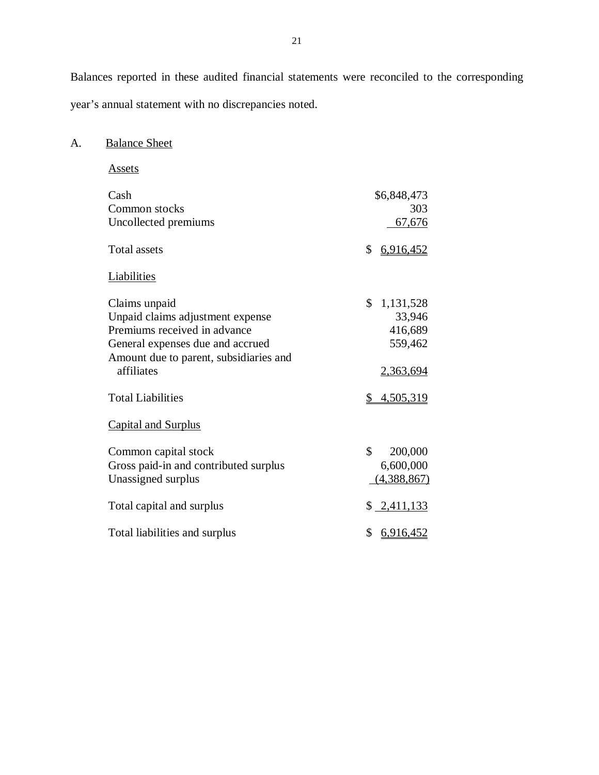Balances reported in these audited financial statements were reconciled to the corresponding year's annual statement with no discrepancies noted.

A. Balance Sheet

 Common stocks 67,676 **Total assets**  Claims unpaid Unpaid claims adjustment expense Premiums received in advance General expenses due and accrued Amount due to parent, subsidiaries and **Total Liabilities**  Capital and Surplus Common capital stock Gross paid-in and contributed surplus  $(4,388,867)$ Total capital and surplus  $\frac{\$ 2,411,133}$ Total liabilities and surplus  $$6,916,452$ Assets Cash Uncollected premiums \$6,848,473 303  $$6,916,452$ **Liabilities** affiliates \$ 1,131,528 33,946 416,689 559,462 2,363,694  $$4,505,319$ Unassigned surplus \$ 200,000 6,600,000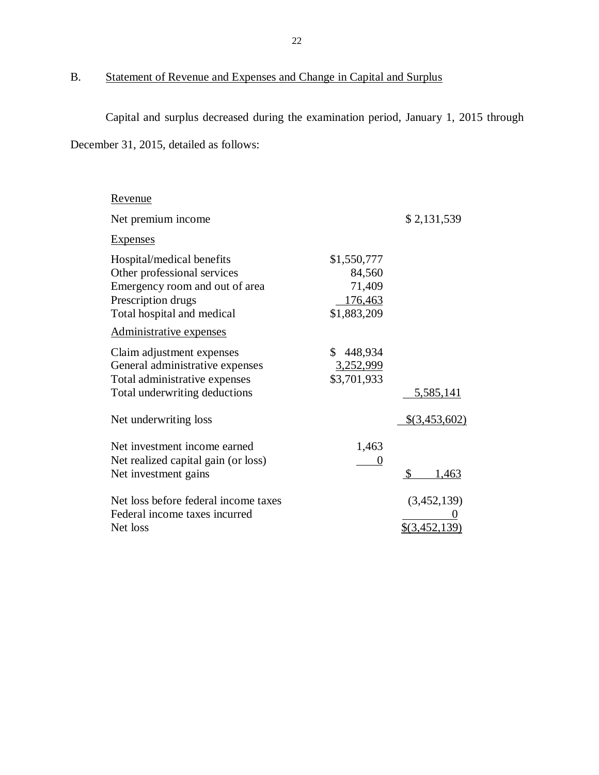#### <span id="page-23-0"></span>B. Statement of Revenue and Expenses and Change in Capital and Surplus

 Capital and surplus decreased during the examination period, January 1, 2015 through December 31, 2015, detailed as follows:

| <u>Revenue</u>                                                                                                                                 |                                                           |                                |
|------------------------------------------------------------------------------------------------------------------------------------------------|-----------------------------------------------------------|--------------------------------|
| Net premium income                                                                                                                             |                                                           | \$2,131,539                    |
| <b>Expenses</b>                                                                                                                                |                                                           |                                |
| Hospital/medical benefits<br>Other professional services<br>Emergency room and out of area<br>Prescription drugs<br>Total hospital and medical | \$1,550,777<br>84,560<br>71,409<br>176,463<br>\$1,883,209 |                                |
| Administrative expenses                                                                                                                        |                                                           |                                |
| Claim adjustment expenses<br>General administrative expenses<br>Total administrative expenses<br>Total underwriting deductions                 | \$<br>448,934<br>3,252,999<br>\$3,701,933                 | 5,585,141                      |
| Net underwriting loss                                                                                                                          |                                                           | $$$ (3,453,602)                |
| Net investment income earned<br>Net realized capital gain (or loss)<br>Net investment gains                                                    | 1,463<br>$\boldsymbol{0}$                                 | $\mathcal{S}$<br><u>1,463</u>  |
| Net loss before federal income taxes<br>Federal income taxes incurred<br>Net loss                                                              |                                                           | (3,452,139)<br>$$$ (3,452,139) |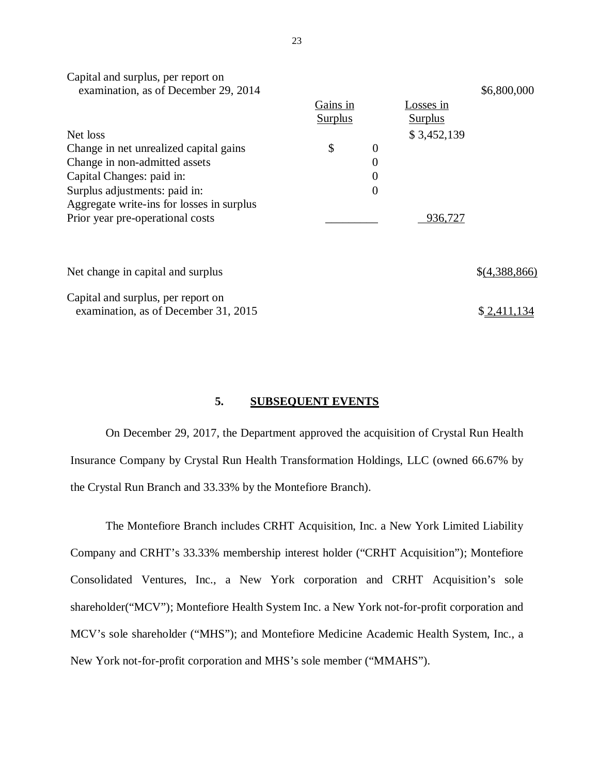| examination, as of December 29, 2014      |                |                |                | \$6,800,000   |
|-------------------------------------------|----------------|----------------|----------------|---------------|
|                                           | Gains in       |                | Losses in      |               |
|                                           | <b>Surplus</b> |                | <b>Surplus</b> |               |
| Net loss                                  |                |                | \$3,452,139    |               |
| Change in net unrealized capital gains    | \$             | $\overline{0}$ |                |               |
| Change in non-admitted assets             |                | $\overline{0}$ |                |               |
| Capital Changes: paid in:                 |                | 0              |                |               |
| Surplus adjustments: paid in:             |                | $\overline{0}$ |                |               |
| Aggregate write-ins for losses in surplus |                |                |                |               |
| Prior year pre-operational costs          |                |                | 936,727        |               |
|                                           |                |                |                |               |
|                                           |                |                |                |               |
| Net change in capital and surplus         |                |                |                | \$(4,388,866) |
|                                           |                |                |                |               |
| Capital and surplus, per report on        |                |                |                |               |
| examination, as of December 31, 2015      |                |                |                | \$2,411       |

#### **5. SUBSEQUENT EVENTS**

 On December 29, 2017, the Department approved the acquisition of Crystal Run Health Insurance Company by Crystal Run Health Transformation Holdings, LLC (owned 66.67% by the Crystal Run Branch and 33.33% by the Montefiore Branch).

 The Montefiore Branch includes CRHT Acquisition, Inc. a New York Limited Liability Company and CRHT's 33.33% membership interest holder ("CRHT Acquisition"); Montefiore Consolidated Ventures, Inc., a New York corporation and CRHT Acquisition's sole shareholder("MCV"); Montefiore Health System Inc. a New York not-for-profit corporation and MCV's sole shareholder ("MHS"); and Montefiore Medicine Academic Health System, Inc., a New York not-for-profit corporation and MHS's sole member ("MMAHS").

Capital and surplus, per report on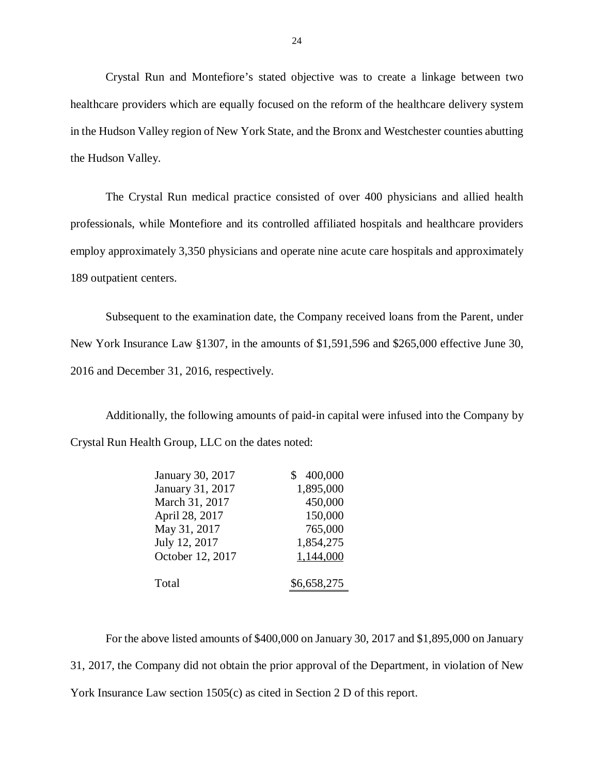Crystal Run and Montefiore's stated objective was to create a linkage between two healthcare providers which are equally focused on the reform of the healthcare delivery system in the Hudson Valley region of New York State, and the Bronx and Westchester counties abutting the Hudson Valley.

 The Crystal Run medical practice consisted of over 400 physicians and allied health professionals, while Montefiore and its controlled affiliated hospitals and healthcare providers employ approximately 3,350 physicians and operate nine acute care hospitals and approximately 189 outpatient centers.

 Subsequent to the examination date, the Company received loans from the Parent, under New York Insurance Law §1307, in the amounts of \$1,591,596 and \$265,000 effective June 30, 2016 and December 31, 2016, respectively.

 Additionally, the following amounts of paid-in capital were infused into the Company by Crystal Run Health Group, LLC on the dates noted:

| January 30, 2017 | 400,000     |
|------------------|-------------|
| January 31, 2017 | 1,895,000   |
| March 31, 2017   | 450,000     |
| April 28, 2017   | 150,000     |
| May 31, 2017     | 765,000     |
| July 12, 2017    | 1,854,275   |
| October 12, 2017 | 1,144,000   |
|                  |             |
| Total            | \$6,658,275 |

 For the above listed amounts of \$400,000 on January 30, 2017 and \$1,895,000 on January 31, 2017, the Company did not obtain the prior approval of the Department, in violation of New York Insurance Law section 1505(c) as cited in Section 2 D of this report.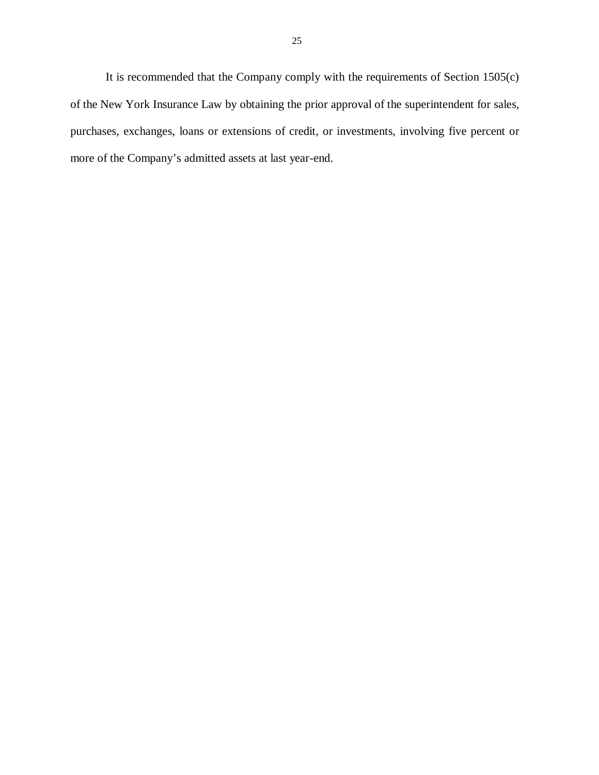It is recommended that the Company comply with the requirements of Section 1505(c) of the New York Insurance Law by obtaining the prior approval of the superintendent for sales, purchases, exchanges, loans or extensions of credit, or investments, involving five percent or more of the Company's admitted assets at last year-end.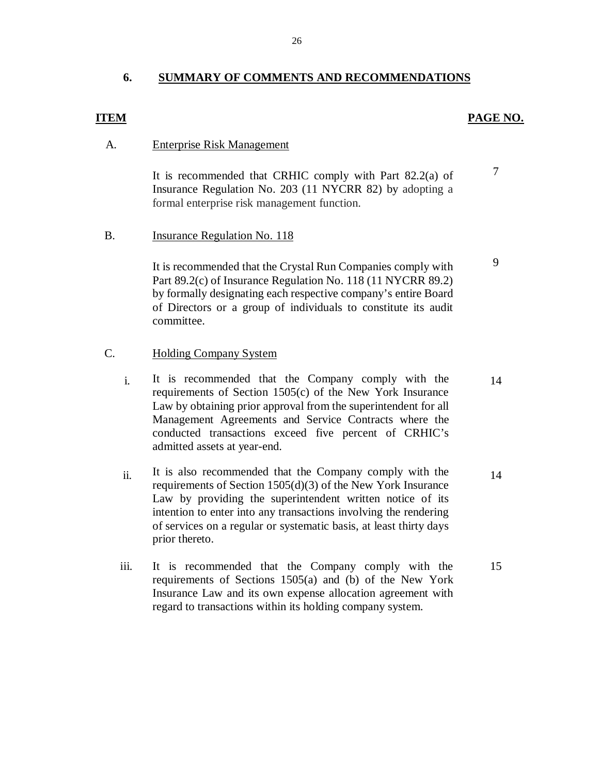#### <span id="page-27-0"></span>**6. SUMMARY OF COMMENTS AND RECOMMENDATIONS**

#### *PAGE NO. PAGE NO.*

#### **Enterprise Risk Management**

A. Enterprise Risk Management<br>It is recommended that CRHIC comply with Part 82.2(a) of <sup>7</sup> Insurance Regulation No. 203 (11 NYCRR 82) by adopting a formal enterprise risk management function.

#### B. Insurance Regulation No. 118

1t is recommended that the Crystal Run Companies comply with  $\frac{9}{9}$  Part 89.2(c) of Insurance Regulation No. 118 (11 NYCRR 89.2) by formally designating each respective company's entire Board of Directors or a group of individuals to constitute its audit committee.

# committee.<br>C. Holding Company System

- i. It is recommended that the Company comply with the 14 requirements of Section 1505(c) of the New York Insurance Law by obtaining prior approval from the superintendent for all Management Agreements and Service Contracts where the conducted transactions exceed five percent of CRHIC's admitted assets at year-end.
- ii. It is also recommended that the Company comply with the  $\frac{14}{14}$  requirements of Section 1505(d)(3) of the New York Insurance Law by providing the superintendent written notice of its intention to enter into any transactions involving the rendering of services on a regular or systematic basis, at least thirty days prior thereto.
- iii. It is recommended that the Company comply with the 15 requirements of Sections 1505(a) and (b) of the New York Insurance Law and its own expense allocation agreement with regard to transactions within its holding company system.

26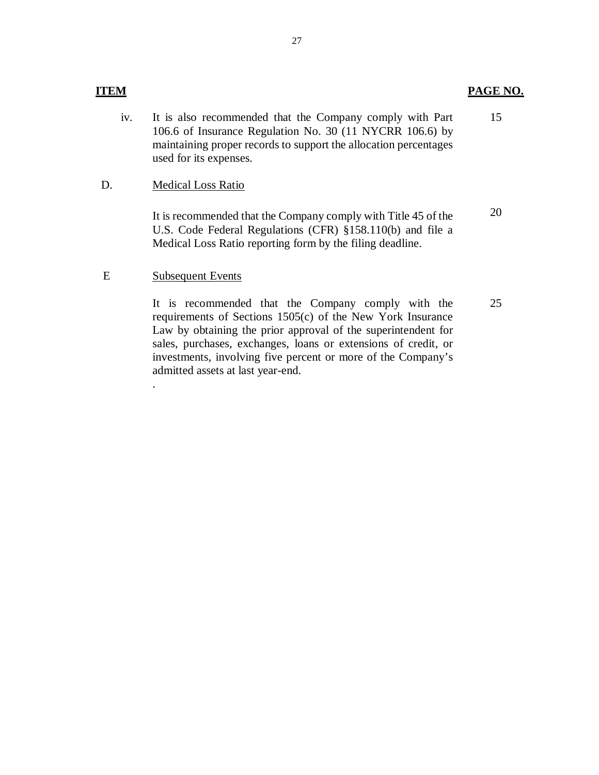#### **ITEM** PAGE NO.

 iv. It is also recommended that the Company comply with Part 106.6 of Insurance Regulation No. 30 (11 NYCRR 106.6) by maintaining proper records to support the allocation percentages used for its expenses. 15

#### D. Medical Loss Ratio

 It is recommended that the Company comply with Title 45 of the U.S. Code Federal Regulations (CFR) §158.110(b) and file a Medical Loss Ratio reporting form by the filing deadline. 20

#### E Subsequent Events

.

 requirements of Sections 1505(c) of the New York Insurance Law by obtaining the prior approval of the superintendent for sales, purchases, exchanges, loans or extensions of credit, or investments, involving five percent or more of the Company's admitted assets at last year-end. It is recommended that the Company comply with the

25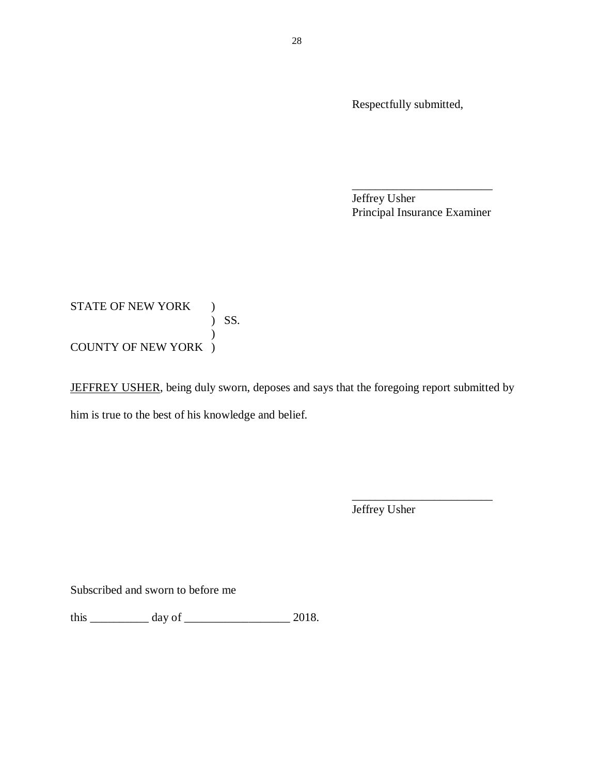Respectfully submitted,

 Jeffrey Usher Principal Insurance Examiner \_\_\_\_\_\_\_\_\_\_\_\_\_\_\_\_\_\_\_\_\_\_\_\_

### STATE OF NEW YORK ) COUNTY OF NEW YORK ) ) SS. )

JEFFREY USHER, being duly sworn, deposes and says that the foregoing report submitted by him is true to the best of his knowledge and belief.

> Jeffrey Usher \_\_\_\_\_\_\_\_\_\_\_\_\_\_\_\_\_\_\_\_\_\_\_\_

Subscribed and sworn to before me

this \_\_\_\_\_\_\_\_\_\_ day of \_\_\_\_\_\_\_\_\_\_\_\_\_\_\_\_\_\_ 2018.